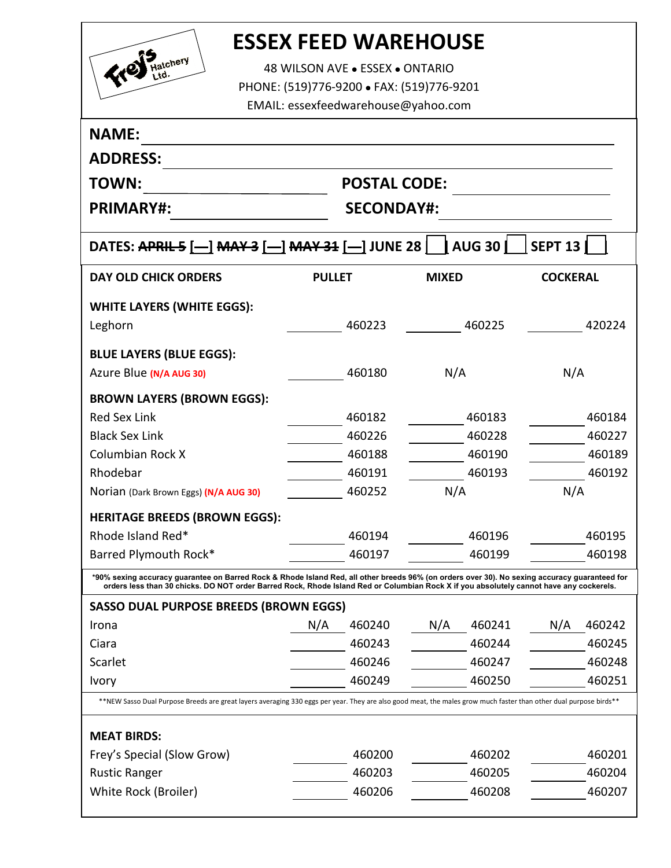

## **ESSEX FEED WAREHOUSE**

48 WILSON AVE . ESSEX . ONTARIO PHONE: (519)776-9200 FAX: (519)776-9201 EMAIL: essexfeedwarehouse@yahoo.com

| <b>NAME:</b>                                                                                                                                                                                                                                                                             |                   |                     |              |        |                 |        |  |  |
|------------------------------------------------------------------------------------------------------------------------------------------------------------------------------------------------------------------------------------------------------------------------------------------|-------------------|---------------------|--------------|--------|-----------------|--------|--|--|
| <b>ADDRESS:</b>                                                                                                                                                                                                                                                                          |                   |                     |              |        |                 |        |  |  |
| <b>TOWN:</b>                                                                                                                                                                                                                                                                             |                   | <b>POSTAL CODE:</b> |              |        |                 |        |  |  |
| <b>PRIMARY#:</b>                                                                                                                                                                                                                                                                         | <b>SECONDAY#:</b> |                     |              |        |                 |        |  |  |
| <b>AUG 30</b><br><b>SEPT 13</b><br>DATES: APRIL 5 [- ] MAY 3 [- ] MAY 31 [- ] JUNE 28                                                                                                                                                                                                    |                   |                     |              |        |                 |        |  |  |
| <b>DAY OLD CHICK ORDERS</b>                                                                                                                                                                                                                                                              | <b>PULLET</b>     |                     | <b>MIXED</b> |        | <b>COCKERAL</b> |        |  |  |
| <b>WHITE LAYERS (WHITE EGGS):</b>                                                                                                                                                                                                                                                        |                   |                     |              |        |                 |        |  |  |
| Leghorn                                                                                                                                                                                                                                                                                  |                   | 460223              |              | 460225 |                 | 420224 |  |  |
| <b>BLUE LAYERS (BLUE EGGS):</b>                                                                                                                                                                                                                                                          |                   |                     |              |        |                 |        |  |  |
| Azure Blue (N/A AUG 30)                                                                                                                                                                                                                                                                  |                   | 460180              | N/A          |        | N/A             |        |  |  |
| <b>BROWN LAYERS (BROWN EGGS):</b>                                                                                                                                                                                                                                                        |                   |                     |              |        |                 |        |  |  |
| <b>Red Sex Link</b>                                                                                                                                                                                                                                                                      |                   | 460182              |              | 460183 |                 | 460184 |  |  |
| <b>Black Sex Link</b>                                                                                                                                                                                                                                                                    |                   | 460226              |              | 460228 |                 | 460227 |  |  |
| <b>Columbian Rock X</b>                                                                                                                                                                                                                                                                  |                   | 460188              |              | 460190 |                 | 460189 |  |  |
| Rhodebar                                                                                                                                                                                                                                                                                 |                   | 460191              |              | 460193 |                 | 460192 |  |  |
| Norian (Dark Brown Eggs) (N/A AUG 30)                                                                                                                                                                                                                                                    |                   | 460252              | N/A          |        | N/A             |        |  |  |
| <b>HERITAGE BREEDS (BROWN EGGS):</b>                                                                                                                                                                                                                                                     |                   |                     |              |        |                 |        |  |  |
| Rhode Island Red*                                                                                                                                                                                                                                                                        |                   | 460194              |              | 460196 |                 | 460195 |  |  |
| Barred Plymouth Rock*                                                                                                                                                                                                                                                                    |                   | 460197              |              | 460199 |                 | 460198 |  |  |
| *90% sexing accuracy guarantee on Barred Rock & Rhode Island Red, all other breeds 96% (on orders over 30). No sexing accuracy guaranteed for<br>orders less than 30 chicks. DO NOT order Barred Rock, Rhode Island Red or Columbian Rock X if you absolutely cannot have any cockerels. |                   |                     |              |        |                 |        |  |  |
| <b>SASSO DUAL PURPOSE BREEDS (BROWN EGGS)</b>                                                                                                                                                                                                                                            |                   |                     |              |        |                 |        |  |  |
| Irona                                                                                                                                                                                                                                                                                    | N/A               | 460240              | N/A          | 460241 | N/A             | 460242 |  |  |
| Ciara                                                                                                                                                                                                                                                                                    |                   | 460243              |              | 460244 |                 | 460245 |  |  |
| Scarlet                                                                                                                                                                                                                                                                                  |                   | 460246              |              | 460247 |                 | 460248 |  |  |
| Ivory                                                                                                                                                                                                                                                                                    |                   | 460249              |              | 460250 |                 | 460251 |  |  |
| **NEW Sasso Dual Purpose Breeds are great layers averaging 330 eggs per year. They are also good meat, the males grow much faster than other dual purpose birds**                                                                                                                        |                   |                     |              |        |                 |        |  |  |
| <b>MEAT BIRDS:</b>                                                                                                                                                                                                                                                                       |                   |                     |              |        |                 |        |  |  |
| Frey's Special (Slow Grow)                                                                                                                                                                                                                                                               |                   | 460200              |              | 460202 |                 | 460201 |  |  |
| <b>Rustic Ranger</b>                                                                                                                                                                                                                                                                     |                   | 460203              |              | 460205 |                 | 460204 |  |  |
| White Rock (Broiler)                                                                                                                                                                                                                                                                     |                   | 460206              |              | 460208 |                 | 460207 |  |  |